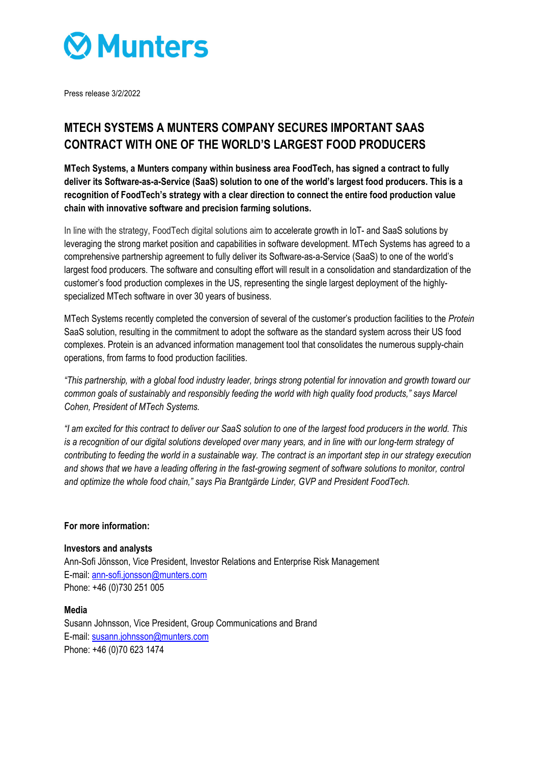

Press release 3/2/2022

# **MTECH SYSTEMS A MUNTERS COMPANY SECURES IMPORTANT SAAS CONTRACT WITH ONE OF THE WORLD'S LARGEST FOOD PRODUCERS**

**MTech Systems, a Munters company within business area FoodTech, has signed a contract to fully deliver its Software-as-a-Service (SaaS) solution to one of the world's largest food producers. This is a recognition of FoodTech's strategy with a clear direction to connect the entire food production value chain with innovative software and precision farming solutions.** 

In line with the strategy, FoodTech digital solutions aim to accelerate growth in IoT- and SaaS solutions by leveraging the strong market position and capabilities in software development. MTech Systems has agreed to a comprehensive partnership agreement to fully deliver its Software-as-a-Service (SaaS) to one of the world's largest food producers. The software and consulting effort will result in a consolidation and standardization of the customer's food production complexes in the US, representing the single largest deployment of the highlyspecialized MTech software in over 30 years of business.

MTech Systems recently completed the conversion of several of the customer's production facilities to the *Protein* SaaS solution, resulting in the commitment to adopt the software as the standard system across their US food complexes. Protein is an advanced information management tool that consolidates the numerous supply-chain operations, from farms to food production facilities.

*"This partnership, with a global food industry leader, brings strong potential for innovation and growth toward our common goals of sustainably and responsibly feeding the world with high quality food products," says Marcel Cohen, President of MTech Systems.* 

*"I am excited for this contract to deliver our SaaS solution to one of the largest food producers in the world. This is a recognition of our digital solutions developed over many years, and in line with our long-term strategy of contributing to feeding the world in a sustainable way. The contract is an important step in our strategy execution*  and shows that we have a leading offering in the fast-growing segment of software solutions to monitor, control *and optimize the whole food chain," says Pia Brantgärde Linder, GVP and President FoodTech.* 

### **For more information:**

### **Investors and analysts**

Ann-Sofi Jönsson, Vice President, Investor Relations and Enterprise Risk Management E-mail: ann-sofi.jonsson@munters.com Phone: +46 (0)730 251 005

### **Media**

Susann Johnsson, Vice President, Group Communications and Brand E-mail: susann.johnsson@munters.com Phone: +46 (0)70 623 1474